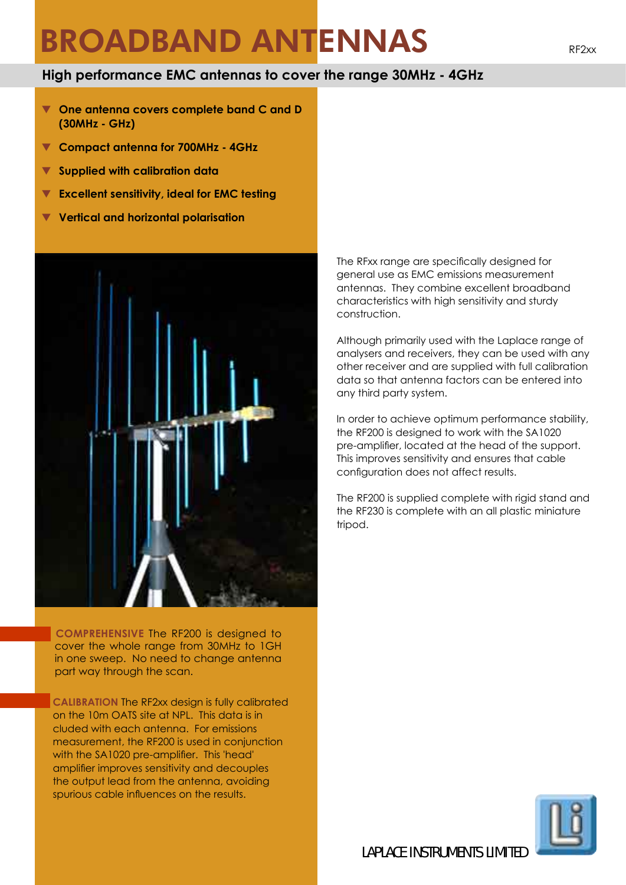## BROADBAND ANTENNAS

## **High performance EMC antennas to cover the range 30MHz - 4GHz**

- > **One antenna covers complete band C and D (30MHz - GHz)**
- > **Compact antenna for 700MHz 4GHz**
- > **Supplied with calibration data**
- > **Excellent sensitivity, ideal for EMC testing**
- > **Vertical and horizontal polarisation**



**COMPREHENSIVE** The RF200 is designed to cover the whole range from 30MHz to 1GH in one sweep. No need to change antenna part way through the scan.

 **CALIBRATION** The RF2xx design is fully calibrated on the 10m OATS site at NPL. This data is in cluded with each antenna. For emissions measurement, the RF200 is used in conjunction with the SA1020 pre-amplifier. This 'head' amplifier improves sensitivity and decouples the output lead from the antenna, avoiding spurious cable influences on the results.

The RFxx range are specifically designed for general use as EMC emissions measurement antennas. They combine excellent broadband characteristics with high sensitivity and sturdy construction.

Although primarily used with the Laplace range of analysers and receivers, they can be used with any other receiver and are supplied with full calibration data so that antenna factors can be entered into any third party system.

In order to achieve optimum performance stability, the RF200 is designed to work with the SA1020 pre-amplifier, located at the head of the support. This improves sensitivity and ensures that cable configuration does not affect results.

The RF200 is supplied complete with rigid stand and the RF230 is complete with an all plastic miniature tripod.